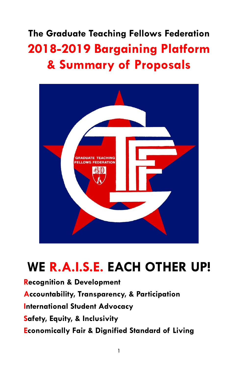The Graduate Teaching Fellows Federation 2018-2019 Bargaining Platform & Summary of Proposals



# WE R.A.I.S.E. EACH OTHER UP!

Recognition & Development Accountability, Transparency, & Participation International Student Advocacy Safety, Equity, & Inclusivity Economically Fair & Dignified Standard of Living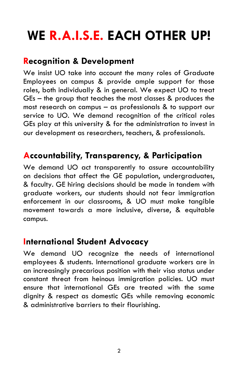# WE R.A.I.S.E. EACH OTHER UP!

## Recognition & Development

We insist UO take into account the many roles of Graduate Employees on campus & provide ample support for those roles, both individually & in general. We expect UO to treat GEs – the group that teaches the most classes & produces the most research on campus – as professionals & to support our service to UO. We demand recognition of the critical roles GEs play at this university & for the administration to invest in our development as researchers, teachers, & professionals.

### Accountability, Transparency, & Participation

We demand UO act transparently to assure accountability on decisions that affect the GE population, undergraduates, & faculty. GE hiring decisions should be made in tandem with graduate workers, our students should not fear immigration enforcement in our classrooms, & UO must make tangible movement towards a more inclusive, diverse, & equitable campus.

### International Student Advocacy

We demand UO recognize the needs of international employees & students. International graduate workers are in an increasingly precarious position with their visa status under constant threat from heinous immigration policies. UO must ensure that international GEs are treated with the same dignity & respect as domestic GEs while removing economic & administrative barriers to their flourishing.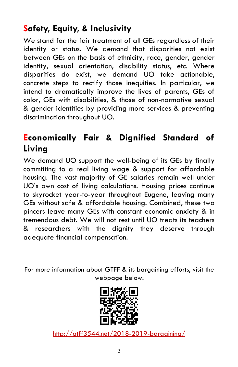## Safety, Equity, & Inclusivity

We stand for the fair treatment of all GEs regardless of their identity or status. We demand that disparities not exist between GEs on the basis of ethnicity, race, gender, gender identity, sexual orientation, disability status, etc. Where disparities do exist, we demand UO take actionable, concrete steps to rectify those inequities. In particular, we intend to dramatically improve the lives of parents, GEs of color, GEs with disabilities, & those of non-normative sexual & gender identities by providing more services & preventing discrimination throughout UO.

# Economically Fair & Dignified Standard of Living

We demand UO support the well-being of its GEs by finally committing to a real living wage & support for affordable housing. The vast majority of GE salaries remain well under UO's own cost of living calculations. Housing prices continue to skyrocket year-to-year throughout Eugene, leaving many GEs without safe & affordable housing. Combined, these two pincers leave many GEs with constant economic anxiety & in tremendous debt. We will not rest until UO treats its teachers & researchers with the dignity they deserve through adequate financial compensation.

For more information about GTFF & its bargaining efforts, visit the webpage below:



http://gtff3544.net/2018-2019-bargaining/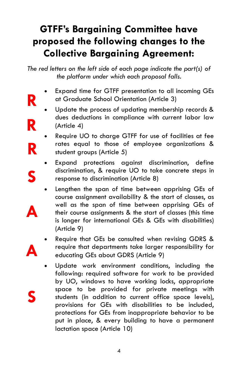# GTFF's Bargaining Committee have proposed the following changes to the Collective Bargaining Agreement:

The red letters on the left side of each page indicate the part(s) of the platform under which each proposal falls.

- Expand time for GTFF presentation to all incoming GEs at Graduate School Orientation (Article 3)
- Update the process of updating membership records & dues deductions in compliance with current labor law (Article 4)

R

R

R

S

A

A

S

- Require UO to charge GTFF for use of facilities at fee rates equal to those of employee organizations & student groups (Article 5)
- Expand protections against discrimination, define discrimination, & require UO to take concrete steps in response to discrimination (Article 8)
- Lengthen the span of time between apprising GEs of course assignment availability & the start of classes, as well as the span of time between apprising GEs of their course assignments & the start of classes (this time is longer for international GEs & GEs with disabilities) (Article 9)
- Require that GEs be consulted when revising GDRS & require that departments take larger responsibility for educating GEs about GDRS (Article 9)
- Update work environment conditions, including the following: required software for work to be provided by UO, windows to have working locks, appropriate space to be provided for private meetings with students (in addition to current office space levels), provisions for GEs with disabilities to be included, protections for GEs from inappropriate behavior to be put in place, & every building to have a permanent lactation space (Article 10)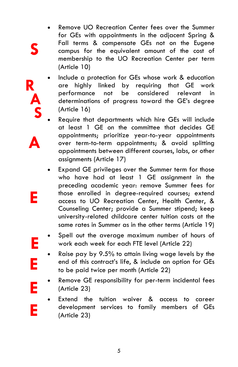- Remove UO Recreation Center fees over the Summer for GEs with appointments in the adjacent Spring & Fall terms & compensate GEs not on the Eugene campus for the equivalent amount of the cost of membership to the UO Recreation Center per term (Article 10)
- Include a protection for GEs whose work & education are highly linked by requiring that GE work performance not be considered relevant in determinations of progress toward the GE's degree (Article 16)
- Require that departments which hire GEs will include at least 1 GE on the committee that decides GE appointments; prioritize year-to-year appointments over term-to-term appointments; & avoid splitting appointments between different courses, labs, or other assignments (Article 17)

A

E

E

E

E

E

S

R

A

S

- Expand GE privileges over the Summer term for those who have had at least 1 GE assignment in the preceding academic year: remove Summer fees for those enrolled in degree-required courses; extend access to UO Recreation Center, Health Center, & Counseling Center; provide a Summer stipend; keep university-related childcare center tuition costs at the same rates in Summer as in the other terms (Article 19)
- Spell out the average maximum number of hours of work each week for each FTE level (Article 22)
- Raise pay by 9.5% to attain living wage levels by the end of this contract's life, & include an option for GEs to be paid twice per month (Article 22)
- Remove GE responsibility for per-term incidental fees (Article 23)
- Extend the tuition waiver & access to career development services to family members of GEs (Article 23)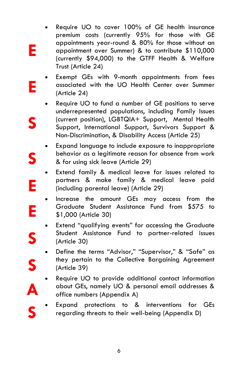- Require UO to cover 100% of GE health insurance premium costs (currently 95% for those with GE appointments year-round & 80% for those without an appointment over Summer) & to contribute \$110,000 (currently \$94,000) to the GTFF Health & Welfare Trust (Article 24)
- Exempt GEs with 9-month appointments from fees associated with the UO Health Center over Summer (Article 24)
	- Require UO to fund a number of GE positions to serve underrepresented populations, including Family Issues (current position), LGBTQIA+ Support, Mental Health Support, International Support, Survivors Support & Non-Discrimination, & Disability Access (Article 25)
- Expand language to include exposure to inappropriate behavior as a legitimate reason for absence from work & for using sick leave (Article 29)
- Extend family & medical leave for issues related to partners & make family & medical leave paid (including parental leave) (Article 29)
- · Increase the amount GEs may access from the Graduate Student Assistance Fund from \$575 to \$1,000 (Article 30)
- Extend "qualifying events" for accessing the Graduate Student Assistance Fund to partner-related issues (Article 30)
- Define the terms "Advisor," "Supervisor," & "Safe" as they pertain to the Collective Bargaining Agreement (Article 39)

S

A

S

S

E

E

S

S

E

E

- Require UO to provide additional contact information about GEs, namely UO & personal email addresses & office numbers (Appendix A)
- Expand protections to & interventions for GEs regarding threats to their well-being (Appendix D)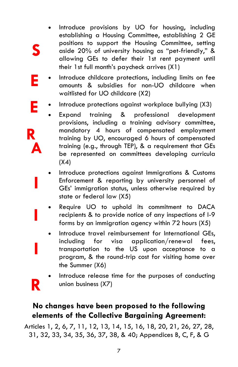Introduce provisions by UO for housing, including establishing a Housing Committee, establishing 2 GE positions to support the Housing Committee, setting aside 20% of university housing as "pet-friendly," & allowing GEs to defer their 1st rent payment until their 1st full month's paycheck arrives (X1)

S

E

E

R

A

I

I

R

I

- Introduce childcare protections, including limits on fee amounts & subsidies for non-UO childcare when waitlisted for UO childcare (X2)
- Introduce protections against workplace bullying (X3)
	- Expand training & professional development provisions, including a training advisory committee, mandatory 4 hours of compensated employment training by UO, encouraged 6 hours of compensated training (e.g., through TEP), & a requirement that GEs be represented on committees developing curricula  $(X4)$
- Introduce protections against Immigrations & Customs Enforcement & reporting by university personnel of GEs' immigration status, unless otherwise required by state or federal law (X5)
- Require UO to uphold its commitment to DACA recipients & to provide notice of any inspections of I-9 forms by an immigration agency within 72 hours (X5)
- Introduce travel reimbursement for International GEs. including for visa application/renewal fees, transportation to the US upon acceptance to a program, & the round-trip cost for visiting home over the Summer (X6)
	- Introduce release time for the purposes of conducting union business (X7)

### No changes have been proposed to the following elements of the Collective Bargaining Agreement:

Articles 1, 2, 6, 7, 11, 12, 13, 14, 15, 16, 18, 20, 21, 26, 27, 28, 31, 32, 33, 34, 35, 36, 37, 38, & 40; Appendices B, C, F, & G